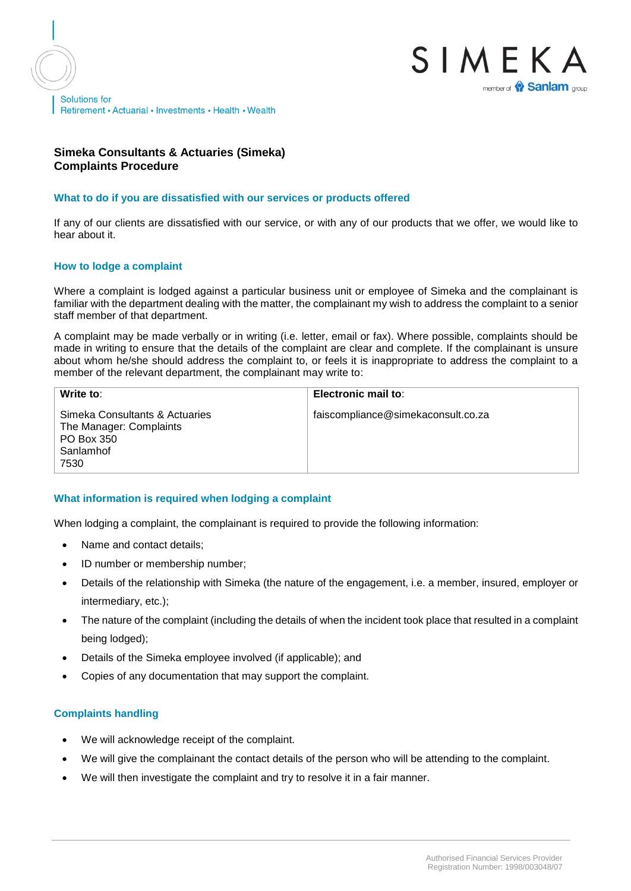



## **Simeka Consultants & Actuaries (Simeka) Complaints Procedure**

### **What to do if you are dissatisfied with our services or products offered**

If any of our clients are dissatisfied with our service, or with any of our products that we offer, we would like to hear about it.

### **How to lodge a complaint**

Where a complaint is lodged against a particular business unit or employee of Simeka and the complainant is familiar with the department dealing with the matter, the complainant my wish to address the complaint to a senior staff member of that department.

A complaint may be made verbally or in writing (i.e. letter, email or fax). Where possible, complaints should be made in writing to ensure that the details of the complaint are clear and complete. If the complainant is unsure about whom he/she should address the complaint to, or feels it is inappropriate to address the complaint to a member of the relevant department, the complainant may write to:

| Write to:                                                                                    | Electronic mail to:                |
|----------------------------------------------------------------------------------------------|------------------------------------|
| Simeka Consultants & Actuaries<br>The Manager: Complaints<br>PO Box 350<br>Sanlamhof<br>7530 | faiscompliance@simekaconsult.co.za |

### **What information is required when lodging a complaint**

When lodging a complaint, the complainant is required to provide the following information:

- Name and contact details:
- ID number or membership number;
- Details of the relationship with Simeka (the nature of the engagement, i.e. a member, insured, employer or intermediary, etc.);
- The nature of the complaint (including the details of when the incident took place that resulted in a complaint being lodged);
- Details of the Simeka employee involved (if applicable); and
- Copies of any documentation that may support the complaint.

### **Complaints handling**

- We will acknowledge receipt of the complaint.
- We will give the complainant the contact details of the person who will be attending to the complaint.
- We will then investigate the complaint and try to resolve it in a fair manner.